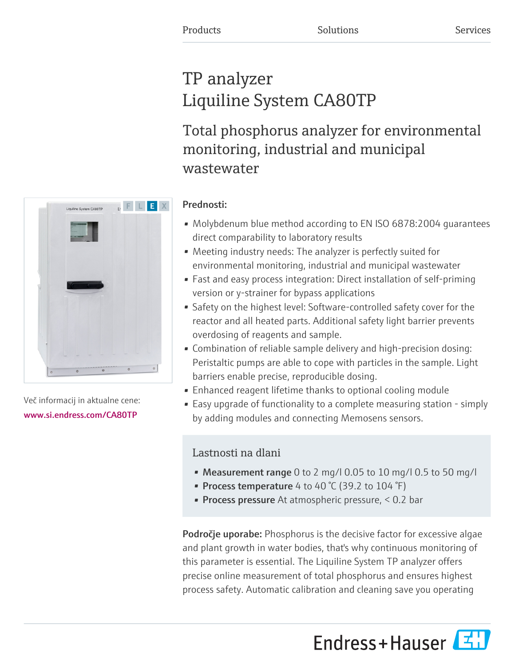# TP analyzer Liquiline System CA80TP

Total phosphorus analyzer for environmental monitoring, industrial and municipal wastewater

# F L E X Liquiline System CA80TP

Več informacij in aktualne cene: [www.si.endress.com/CA80TP](https://www.si.endress.com/CA80TP)

### Prednosti:

- Molybdenum blue method according to EN ISO 6878:2004 guarantees direct comparability to laboratory results
- Meeting industry needs: The analyzer is perfectly suited for environmental monitoring, industrial and municipal wastewater
- Fast and easy process integration: Direct installation of self-priming version or y-strainer for bypass applications
- Safety on the highest level: Software-controlled safety cover for the reactor and all heated parts. Additional safety light barrier prevents overdosing of reagents and sample.
- Combination of reliable sample delivery and high-precision dosing: Peristaltic pumps are able to cope with particles in the sample. Light barriers enable precise, reproducible dosing.
- Enhanced reagent lifetime thanks to optional cooling module
- Easy upgrade of functionality to a complete measuring station simply by adding modules and connecting Memosens sensors.

## Lastnosti na dlani

- Measurement range 0 to 2 mg/l 0.05 to 10 mg/l 0.5 to 50 mg/l
- Process temperature 4 to 40 °C (39.2 to 104 °F)
- **Process pressure** At atmospheric pressure,  $\leq 0.2$  bar

**Področje uporabe:** Phosphorus is the decisive factor for excessive algae and plant growth in water bodies, that's why continuous monitoring of this parameter is essential. The Liquiline System TP analyzer offers precise online measurement of total phosphorus and ensures highest process safety. Automatic calibration and cleaning save you operating



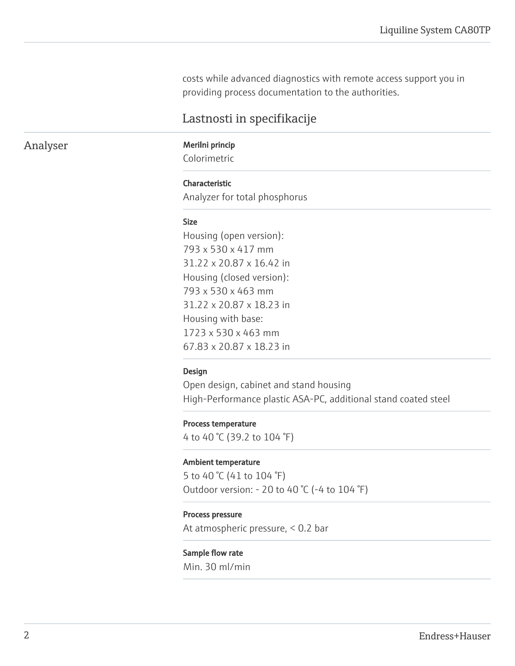costs while advanced diagnostics with remote access support you in providing process documentation to the authorities.

### Lastnosti in specifikacije

Analyser Merilni princip

Colorimetric

### Characteristic

Analyzer for total phosphorus

### Size

Housing (open version): 793 x 530 x 417 mm 31.22 x 20.87 x 16.42 in Housing (closed version): 793 x 530 x 463 mm 31.22 x 20.87 x 18.23 in Housing with base: 1723 x 530 x 463 mm 67.83 x 20.87 x 18.23 in

### Design

Open design, cabinet and stand housing High-Performance plastic ASA-PC, additional stand coated steel

### Process temperature

4 to 40 °C (39.2 to 104 °F)

### Ambient temperature

5 to 40 °C (41 to 104 °F) Outdoor version: - 20 to 40 °C (-4 to 104 °F)

### Process pressure

At atmospheric pressure, < 0.2 bar

### Sample flow rate

Min. 30 ml/min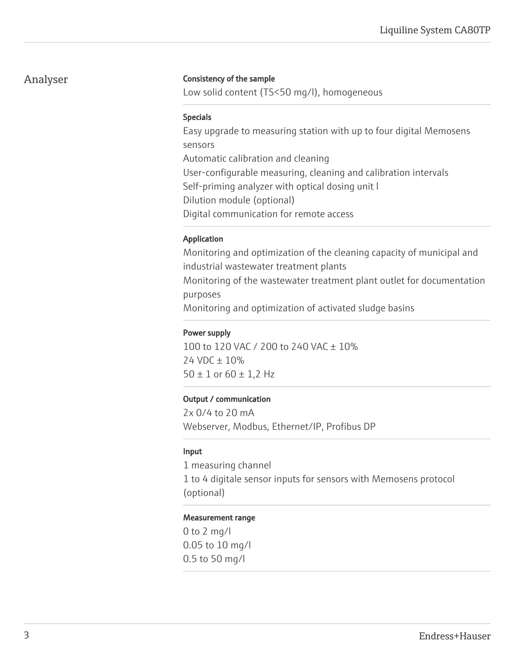### Analyser

### Consistency of the sample

Low solid content (TS<50 mg/l), homogeneous

### Specials

Easy upgrade to measuring station with up to four digital Memosens sensors Automatic calibration and cleaning User-configurable measuring, cleaning and calibration intervals Self-priming analyzer with optical dosing unit l Dilution module (optional) Digital communication for remote access

### Application

Monitoring and optimization of the cleaning capacity of municipal and industrial wastewater treatment plants Monitoring of the wastewater treatment plant outlet for documentation purposes Monitoring and optimization of activated sludge basins

### Power supply

100 to 120 VAC / 200 to 240 VAC ± 10% 24 VDC ± 10%  $50 \pm 1$  or  $60 \pm 1,2$  Hz

### Output / communication

2x 0/4 to 20 mA Webserver, Modbus, Ethernet/IP, Profibus DP

### Input

1 measuring channel 1 to 4 digitale sensor inputs for sensors with Memosens protocol (optional)

### Measurement range

0 to 2 mg/l 0.05 to 10 mg/l 0.5 to 50 mg/l